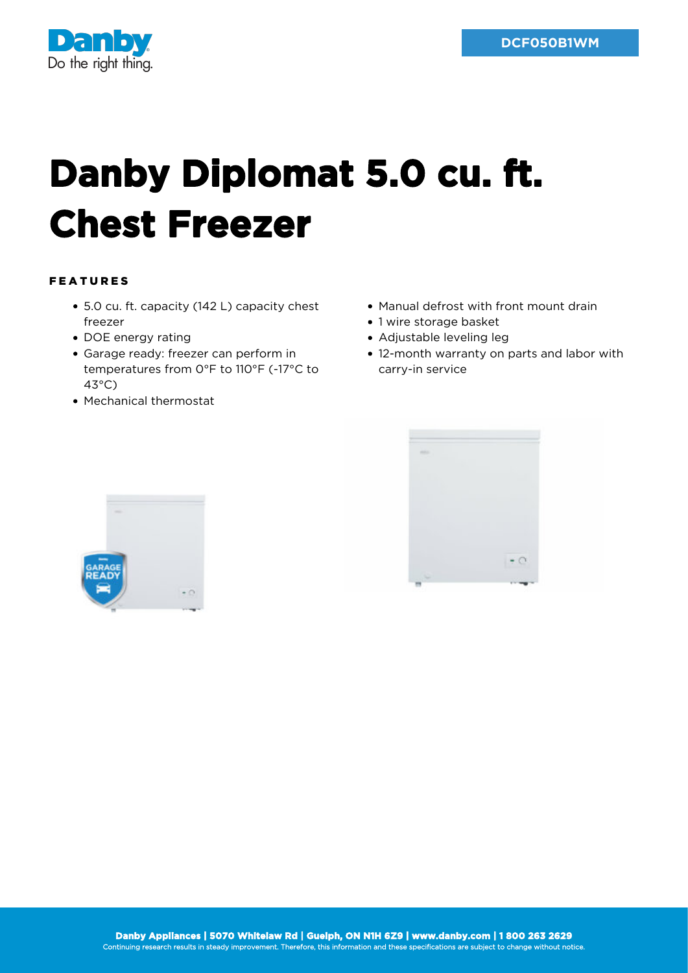

## **Danby Diplomat 5.0 cu. ft. Chest Freezer**

## FEATURES

- 5.0 cu. ft. capacity (142 L) capacity chest freezer
- DOE energy rating
- Garage ready: freezer can perform in temperatures from 0°F to 110°F (-17°C to 43°C)
- Mechanical thermostat
- Manual defrost with front mount drain
- 1 wire storage basket
- Adjustable leveling leg
- 12-month warranty on parts and labor with carry-in service